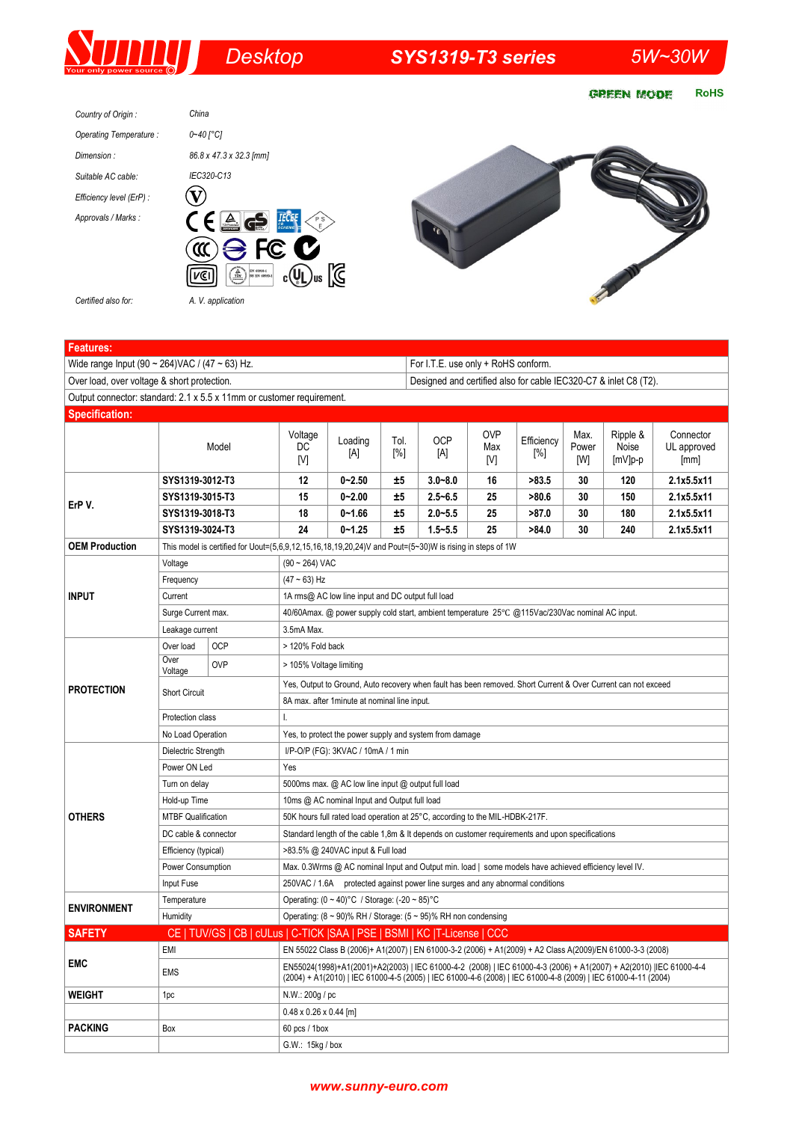# *Desktop SYS1319-T3 series 5W~30W*

**RoHS GREEN MODE** 



*A. V. application*



*Certified also for:*

| Wide range Input (90 ~ 264) VAC / (47 ~ 63) Hz.<br>For I.T.E. use only + RoHS conform.<br>Over load, over voltage & short protection.<br>Designed and certified also for cable IEC320-C7 & inlet C8 (T2).<br>Output connector: standard: 2.1 x 5.5 x 11mm or customer requirement.<br><b>Specification:</b><br><b>OVP</b><br>Max.<br>Ripple &<br>Connector<br>Voltage<br>Loading<br>Tol.<br><b>OCP</b><br>Efficiency<br>Model<br>DC<br>Noise<br>Max<br>Power<br>[%]<br>[A]<br>[A]<br>$[\%]$<br>[V]<br>[V]<br>[W]<br>$[mV]p-p$<br>[mm]<br>SYS1319-3012-T3<br>12<br>$0 - 2.50$<br>±5<br>$3.0 - 8.0$<br>16<br>>83.5<br>30<br>120<br>2.1x5.5x11<br>$0 - 2.00$<br>$2.5 - 6.5$<br>>80.6<br>2.1x5.5x11<br>SYS1319-3015-T3<br>15<br>±5<br>25<br>30<br>150<br>ErP V.<br>SYS1319-3018-T3<br>$0 - 1.66$<br>$2.0 - 5.5$<br>>87.0<br>180<br>2.1x5.5x11<br>18<br>±5<br>25<br>30<br>$0 - 1.25$<br>2.1x5.5x11<br>SYS1319-3024-T3<br>24<br>$1.5 - 5.5$<br>25<br>>84.0<br>30<br>240<br>±5<br><b>OEM Production</b><br>This model is certified for Uout= $(5,6,9,12,15,16,18,19,20,24)$ V and Pout= $(5~30)$ W is rising in steps of 1W<br>$(90 \sim 264)$ VAC<br>Voltage<br>$(47 - 63)$ Hz<br>Frequency<br><b>INPUT</b><br>Current<br>1A rms@ AC low line input and DC output full load<br>Surge Current max.<br>40/60Amax. @ power supply cold start, ambient temperature 25°C @115Vac/230Vac nominal AC input.<br>3.5mA Max.<br>Leakage current<br>Over load<br><b>OCP</b><br>> 120% Fold back<br>Over<br><b>OVP</b><br>> 105% Voltage limiting<br>Voltage<br>Yes, Output to Ground, Auto recovery when fault has been removed. Short Current & Over Current can not exceed<br><b>PROTECTION</b><br><b>Short Circuit</b><br>8A max. after 1 minute at nominal line input.<br>Protection class<br>I.<br>No Load Operation<br>Yes, to protect the power supply and system from damage<br>Dielectric Strength<br>I/P-O/P (FG): 3KVAC / 10mA / 1 min<br>Power ON Led<br>Yes | <b>Features:</b>   |               |  |                                                    |  |  |  |  |  |  |  |             |  |
|---------------------------------------------------------------------------------------------------------------------------------------------------------------------------------------------------------------------------------------------------------------------------------------------------------------------------------------------------------------------------------------------------------------------------------------------------------------------------------------------------------------------------------------------------------------------------------------------------------------------------------------------------------------------------------------------------------------------------------------------------------------------------------------------------------------------------------------------------------------------------------------------------------------------------------------------------------------------------------------------------------------------------------------------------------------------------------------------------------------------------------------------------------------------------------------------------------------------------------------------------------------------------------------------------------------------------------------------------------------------------------------------------------------------------------------------------------------------------------------------------------------------------------------------------------------------------------------------------------------------------------------------------------------------------------------------------------------------------------------------------------------------------------------------------------------------------------------------------------------------------------------------------------------------------------------------------------|--------------------|---------------|--|----------------------------------------------------|--|--|--|--|--|--|--|-------------|--|
|                                                                                                                                                                                                                                                                                                                                                                                                                                                                                                                                                                                                                                                                                                                                                                                                                                                                                                                                                                                                                                                                                                                                                                                                                                                                                                                                                                                                                                                                                                                                                                                                                                                                                                                                                                                                                                                                                                                                                         |                    |               |  |                                                    |  |  |  |  |  |  |  |             |  |
|                                                                                                                                                                                                                                                                                                                                                                                                                                                                                                                                                                                                                                                                                                                                                                                                                                                                                                                                                                                                                                                                                                                                                                                                                                                                                                                                                                                                                                                                                                                                                                                                                                                                                                                                                                                                                                                                                                                                                         |                    |               |  |                                                    |  |  |  |  |  |  |  |             |  |
|                                                                                                                                                                                                                                                                                                                                                                                                                                                                                                                                                                                                                                                                                                                                                                                                                                                                                                                                                                                                                                                                                                                                                                                                                                                                                                                                                                                                                                                                                                                                                                                                                                                                                                                                                                                                                                                                                                                                                         |                    |               |  |                                                    |  |  |  |  |  |  |  |             |  |
|                                                                                                                                                                                                                                                                                                                                                                                                                                                                                                                                                                                                                                                                                                                                                                                                                                                                                                                                                                                                                                                                                                                                                                                                                                                                                                                                                                                                                                                                                                                                                                                                                                                                                                                                                                                                                                                                                                                                                         |                    |               |  |                                                    |  |  |  |  |  |  |  |             |  |
|                                                                                                                                                                                                                                                                                                                                                                                                                                                                                                                                                                                                                                                                                                                                                                                                                                                                                                                                                                                                                                                                                                                                                                                                                                                                                                                                                                                                                                                                                                                                                                                                                                                                                                                                                                                                                                                                                                                                                         |                    |               |  |                                                    |  |  |  |  |  |  |  | UL approved |  |
|                                                                                                                                                                                                                                                                                                                                                                                                                                                                                                                                                                                                                                                                                                                                                                                                                                                                                                                                                                                                                                                                                                                                                                                                                                                                                                                                                                                                                                                                                                                                                                                                                                                                                                                                                                                                                                                                                                                                                         |                    |               |  |                                                    |  |  |  |  |  |  |  |             |  |
|                                                                                                                                                                                                                                                                                                                                                                                                                                                                                                                                                                                                                                                                                                                                                                                                                                                                                                                                                                                                                                                                                                                                                                                                                                                                                                                                                                                                                                                                                                                                                                                                                                                                                                                                                                                                                                                                                                                                                         |                    |               |  |                                                    |  |  |  |  |  |  |  |             |  |
|                                                                                                                                                                                                                                                                                                                                                                                                                                                                                                                                                                                                                                                                                                                                                                                                                                                                                                                                                                                                                                                                                                                                                                                                                                                                                                                                                                                                                                                                                                                                                                                                                                                                                                                                                                                                                                                                                                                                                         |                    |               |  |                                                    |  |  |  |  |  |  |  |             |  |
|                                                                                                                                                                                                                                                                                                                                                                                                                                                                                                                                                                                                                                                                                                                                                                                                                                                                                                                                                                                                                                                                                                                                                                                                                                                                                                                                                                                                                                                                                                                                                                                                                                                                                                                                                                                                                                                                                                                                                         |                    |               |  |                                                    |  |  |  |  |  |  |  |             |  |
|                                                                                                                                                                                                                                                                                                                                                                                                                                                                                                                                                                                                                                                                                                                                                                                                                                                                                                                                                                                                                                                                                                                                                                                                                                                                                                                                                                                                                                                                                                                                                                                                                                                                                                                                                                                                                                                                                                                                                         |                    |               |  |                                                    |  |  |  |  |  |  |  |             |  |
|                                                                                                                                                                                                                                                                                                                                                                                                                                                                                                                                                                                                                                                                                                                                                                                                                                                                                                                                                                                                                                                                                                                                                                                                                                                                                                                                                                                                                                                                                                                                                                                                                                                                                                                                                                                                                                                                                                                                                         |                    |               |  |                                                    |  |  |  |  |  |  |  |             |  |
|                                                                                                                                                                                                                                                                                                                                                                                                                                                                                                                                                                                                                                                                                                                                                                                                                                                                                                                                                                                                                                                                                                                                                                                                                                                                                                                                                                                                                                                                                                                                                                                                                                                                                                                                                                                                                                                                                                                                                         |                    |               |  |                                                    |  |  |  |  |  |  |  |             |  |
|                                                                                                                                                                                                                                                                                                                                                                                                                                                                                                                                                                                                                                                                                                                                                                                                                                                                                                                                                                                                                                                                                                                                                                                                                                                                                                                                                                                                                                                                                                                                                                                                                                                                                                                                                                                                                                                                                                                                                         |                    |               |  |                                                    |  |  |  |  |  |  |  |             |  |
|                                                                                                                                                                                                                                                                                                                                                                                                                                                                                                                                                                                                                                                                                                                                                                                                                                                                                                                                                                                                                                                                                                                                                                                                                                                                                                                                                                                                                                                                                                                                                                                                                                                                                                                                                                                                                                                                                                                                                         |                    |               |  |                                                    |  |  |  |  |  |  |  |             |  |
|                                                                                                                                                                                                                                                                                                                                                                                                                                                                                                                                                                                                                                                                                                                                                                                                                                                                                                                                                                                                                                                                                                                                                                                                                                                                                                                                                                                                                                                                                                                                                                                                                                                                                                                                                                                                                                                                                                                                                         |                    |               |  |                                                    |  |  |  |  |  |  |  |             |  |
|                                                                                                                                                                                                                                                                                                                                                                                                                                                                                                                                                                                                                                                                                                                                                                                                                                                                                                                                                                                                                                                                                                                                                                                                                                                                                                                                                                                                                                                                                                                                                                                                                                                                                                                                                                                                                                                                                                                                                         |                    |               |  |                                                    |  |  |  |  |  |  |  |             |  |
|                                                                                                                                                                                                                                                                                                                                                                                                                                                                                                                                                                                                                                                                                                                                                                                                                                                                                                                                                                                                                                                                                                                                                                                                                                                                                                                                                                                                                                                                                                                                                                                                                                                                                                                                                                                                                                                                                                                                                         |                    |               |  |                                                    |  |  |  |  |  |  |  |             |  |
|                                                                                                                                                                                                                                                                                                                                                                                                                                                                                                                                                                                                                                                                                                                                                                                                                                                                                                                                                                                                                                                                                                                                                                                                                                                                                                                                                                                                                                                                                                                                                                                                                                                                                                                                                                                                                                                                                                                                                         |                    |               |  |                                                    |  |  |  |  |  |  |  |             |  |
|                                                                                                                                                                                                                                                                                                                                                                                                                                                                                                                                                                                                                                                                                                                                                                                                                                                                                                                                                                                                                                                                                                                                                                                                                                                                                                                                                                                                                                                                                                                                                                                                                                                                                                                                                                                                                                                                                                                                                         |                    |               |  |                                                    |  |  |  |  |  |  |  |             |  |
|                                                                                                                                                                                                                                                                                                                                                                                                                                                                                                                                                                                                                                                                                                                                                                                                                                                                                                                                                                                                                                                                                                                                                                                                                                                                                                                                                                                                                                                                                                                                                                                                                                                                                                                                                                                                                                                                                                                                                         |                    |               |  |                                                    |  |  |  |  |  |  |  |             |  |
|                                                                                                                                                                                                                                                                                                                                                                                                                                                                                                                                                                                                                                                                                                                                                                                                                                                                                                                                                                                                                                                                                                                                                                                                                                                                                                                                                                                                                                                                                                                                                                                                                                                                                                                                                                                                                                                                                                                                                         |                    |               |  |                                                    |  |  |  |  |  |  |  |             |  |
|                                                                                                                                                                                                                                                                                                                                                                                                                                                                                                                                                                                                                                                                                                                                                                                                                                                                                                                                                                                                                                                                                                                                                                                                                                                                                                                                                                                                                                                                                                                                                                                                                                                                                                                                                                                                                                                                                                                                                         |                    |               |  |                                                    |  |  |  |  |  |  |  |             |  |
|                                                                                                                                                                                                                                                                                                                                                                                                                                                                                                                                                                                                                                                                                                                                                                                                                                                                                                                                                                                                                                                                                                                                                                                                                                                                                                                                                                                                                                                                                                                                                                                                                                                                                                                                                                                                                                                                                                                                                         | <b>OTHERS</b>      | Turn on delay |  | 5000ms max. @ AC low line input @ output full load |  |  |  |  |  |  |  |             |  |
| Hold-up Time<br>10ms @ AC nominal Input and Output full load                                                                                                                                                                                                                                                                                                                                                                                                                                                                                                                                                                                                                                                                                                                                                                                                                                                                                                                                                                                                                                                                                                                                                                                                                                                                                                                                                                                                                                                                                                                                                                                                                                                                                                                                                                                                                                                                                            |                    |               |  |                                                    |  |  |  |  |  |  |  |             |  |
| <b>MTBF Qualification</b><br>50K hours full rated load operation at 25°C, according to the MIL-HDBK-217F.                                                                                                                                                                                                                                                                                                                                                                                                                                                                                                                                                                                                                                                                                                                                                                                                                                                                                                                                                                                                                                                                                                                                                                                                                                                                                                                                                                                                                                                                                                                                                                                                                                                                                                                                                                                                                                               |                    |               |  |                                                    |  |  |  |  |  |  |  |             |  |
| DC cable & connector<br>Standard length of the cable 1,8m & It depends on customer requirements and upon specifications                                                                                                                                                                                                                                                                                                                                                                                                                                                                                                                                                                                                                                                                                                                                                                                                                                                                                                                                                                                                                                                                                                                                                                                                                                                                                                                                                                                                                                                                                                                                                                                                                                                                                                                                                                                                                                 |                    |               |  |                                                    |  |  |  |  |  |  |  |             |  |
| Efficiency (typical)<br>>83.5% @ 240VAC input & Full load                                                                                                                                                                                                                                                                                                                                                                                                                                                                                                                                                                                                                                                                                                                                                                                                                                                                                                                                                                                                                                                                                                                                                                                                                                                                                                                                                                                                                                                                                                                                                                                                                                                                                                                                                                                                                                                                                               |                    |               |  |                                                    |  |  |  |  |  |  |  |             |  |
| Power Consumption<br>Max. 0.3Wrms @ AC nominal Input and Output min. load   some models have achieved efficiency level IV.                                                                                                                                                                                                                                                                                                                                                                                                                                                                                                                                                                                                                                                                                                                                                                                                                                                                                                                                                                                                                                                                                                                                                                                                                                                                                                                                                                                                                                                                                                                                                                                                                                                                                                                                                                                                                              |                    |               |  |                                                    |  |  |  |  |  |  |  |             |  |
| Input Fuse<br>250VAC / 1.6A protected against power line surges and any abnormal conditions                                                                                                                                                                                                                                                                                                                                                                                                                                                                                                                                                                                                                                                                                                                                                                                                                                                                                                                                                                                                                                                                                                                                                                                                                                                                                                                                                                                                                                                                                                                                                                                                                                                                                                                                                                                                                                                             |                    |               |  |                                                    |  |  |  |  |  |  |  |             |  |
| Operating: (0 ~ 40)°C / Storage: (-20 ~ 85)°C<br>Temperature                                                                                                                                                                                                                                                                                                                                                                                                                                                                                                                                                                                                                                                                                                                                                                                                                                                                                                                                                                                                                                                                                                                                                                                                                                                                                                                                                                                                                                                                                                                                                                                                                                                                                                                                                                                                                                                                                            | <b>ENVIRONMENT</b> |               |  |                                                    |  |  |  |  |  |  |  |             |  |
| Operating: (8 ~ 90)% RH / Storage: (5 ~ 95)% RH non condensing<br>Humidity                                                                                                                                                                                                                                                                                                                                                                                                                                                                                                                                                                                                                                                                                                                                                                                                                                                                                                                                                                                                                                                                                                                                                                                                                                                                                                                                                                                                                                                                                                                                                                                                                                                                                                                                                                                                                                                                              |                    |               |  |                                                    |  |  |  |  |  |  |  |             |  |
| CE   TUV/GS   CB   cULus   C-TICK   SAA   PSE   BSMI   KC   T-License   CCC<br><b>SAFETY</b>                                                                                                                                                                                                                                                                                                                                                                                                                                                                                                                                                                                                                                                                                                                                                                                                                                                                                                                                                                                                                                                                                                                                                                                                                                                                                                                                                                                                                                                                                                                                                                                                                                                                                                                                                                                                                                                            |                    |               |  |                                                    |  |  |  |  |  |  |  |             |  |
| EN 55022 Class B (2006)+ A1(2007)   EN 61000-3-2 (2006) + A1(2009) + A2 Class A(2009)/EN 61000-3-3 (2008)<br>EMI                                                                                                                                                                                                                                                                                                                                                                                                                                                                                                                                                                                                                                                                                                                                                                                                                                                                                                                                                                                                                                                                                                                                                                                                                                                                                                                                                                                                                                                                                                                                                                                                                                                                                                                                                                                                                                        |                    |               |  |                                                    |  |  |  |  |  |  |  |             |  |
| <b>EMC</b><br>EN55024(1998)+A1(2001)+A2(2003)   IEC 61000-4-2 (2008)   IEC 61000-4-3 (2006) + A1(2007) + A2(2010)   IEC 61000-4-4<br><b>EMS</b><br>(2004) + A1(2010)   IEC 61000-4-5 (2005)   IEC 61000-4-6 (2008)   IEC 61000-4-8 (2009)   IEC 61000-4-11 (2004)                                                                                                                                                                                                                                                                                                                                                                                                                                                                                                                                                                                                                                                                                                                                                                                                                                                                                                                                                                                                                                                                                                                                                                                                                                                                                                                                                                                                                                                                                                                                                                                                                                                                                       |                    |               |  |                                                    |  |  |  |  |  |  |  |             |  |
| <b>WEIGHT</b><br>N.W.: 200g / pc<br>1pc                                                                                                                                                                                                                                                                                                                                                                                                                                                                                                                                                                                                                                                                                                                                                                                                                                                                                                                                                                                                                                                                                                                                                                                                                                                                                                                                                                                                                                                                                                                                                                                                                                                                                                                                                                                                                                                                                                                 |                    |               |  |                                                    |  |  |  |  |  |  |  |             |  |
| $0.48 \times 0.26 \times 0.44$ [m]                                                                                                                                                                                                                                                                                                                                                                                                                                                                                                                                                                                                                                                                                                                                                                                                                                                                                                                                                                                                                                                                                                                                                                                                                                                                                                                                                                                                                                                                                                                                                                                                                                                                                                                                                                                                                                                                                                                      |                    |               |  |                                                    |  |  |  |  |  |  |  |             |  |
| <b>PACKING</b><br>$60$ pcs / 1box<br>Box                                                                                                                                                                                                                                                                                                                                                                                                                                                                                                                                                                                                                                                                                                                                                                                                                                                                                                                                                                                                                                                                                                                                                                                                                                                                                                                                                                                                                                                                                                                                                                                                                                                                                                                                                                                                                                                                                                                |                    |               |  |                                                    |  |  |  |  |  |  |  |             |  |
| G.W.: 15kg / box                                                                                                                                                                                                                                                                                                                                                                                                                                                                                                                                                                                                                                                                                                                                                                                                                                                                                                                                                                                                                                                                                                                                                                                                                                                                                                                                                                                                                                                                                                                                                                                                                                                                                                                                                                                                                                                                                                                                        |                    |               |  |                                                    |  |  |  |  |  |  |  |             |  |